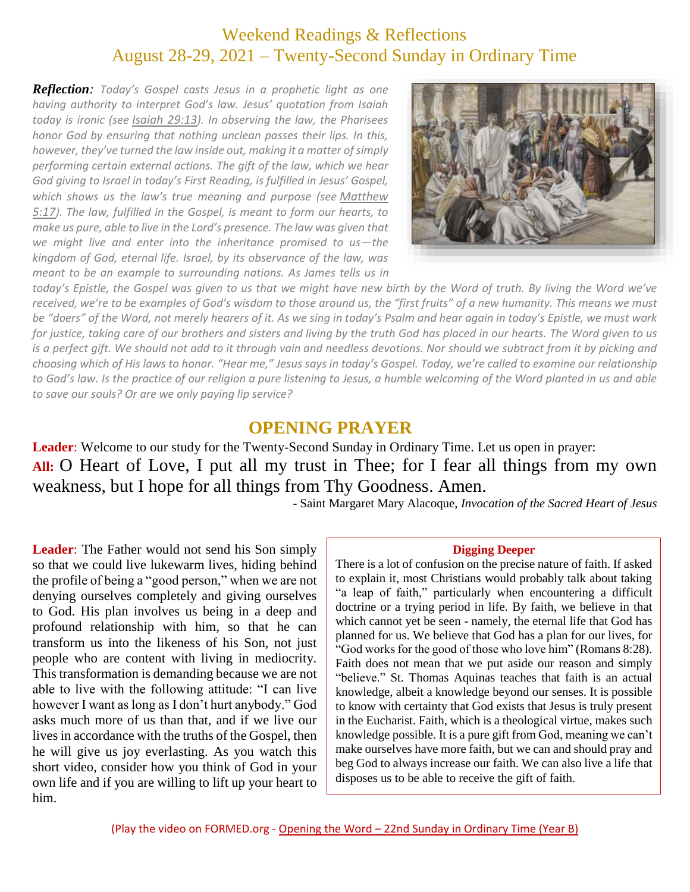# Weekend Readings & Reflections August 28-29, 2021 – Twenty-Second Sunday in Ordinary Time

*Reflection: Today's Gospel casts Jesus in a prophetic light as one having authority to interpret God's law. Jesus' quotation from Isaiah today is ironic (see [Isaiah](https://biblia.com/bible/rsvce/Isa%2029.13) 29:13). In observing the law, the Pharisees honor God by ensuring that nothing unclean passes their lips. In this, however, they've turned the law inside out, making it a matter of simply performing certain external actions. The gift of the law, which we hear God giving to Israel in today's First Reading, is fulfilled in Jesus' Gospel, which shows us the law's true meaning and purpose (see [Matthew](https://biblia.com/bible/rsvce/Matt%205.17) [5:17](https://biblia.com/bible/rsvce/Matt%205.17)). The law, fulfilled in the Gospel, is meant to form our hearts, to make us pure, able to live in the Lord's presence. The law was given that we might live and enter into the inheritance promised to us—the kingdom of God, eternal life. Israel, by its observance of the law, was meant to be an example to surrounding nations. As James tells us in* 



*today's Epistle, the Gospel was given to us that we might have new birth by the Word of truth. By living the Word we've received, we're to be examples of God's wisdom to those around us, the "first fruits" of a new humanity. This means we must be "doers" of the Word, not merely hearers of it. As we sing in today's Psalm and hear again in today's Epistle, we must work for justice, taking care of our brothers and sisters and living by the truth God has placed in our hearts. The Word given to us is a perfect gift. We should not add to it through vain and needless devotions. Nor should we subtract from it by picking and choosing which of His laws to honor. "Hear me," Jesus says in today's Gospel. Today, we're called to examine our relationship to God's law. Is the practice of our religion a pure listening to Jesus, a humble welcoming of the Word planted in us and able to save our souls? Or are we only paying lip service?*

### **OPENING PRAYER**

**Leader**: Welcome to our study for the Twenty-Second Sunday in Ordinary Time. Let us open in prayer: **All:** O Heart of Love, I put all my trust in Thee; for I fear all things from my own weakness, but I hope for all things from Thy Goodness. Amen.

- Saint Margaret Mary Alacoque, *Invocation of the Sacred Heart of Jesus*

**Leader**: The Father would not send his Son simply so that we could live lukewarm lives, hiding behind the profile of being a "good person," when we are not denying ourselves completely and giving ourselves to God. His plan involves us being in a deep and profound relationship with him, so that he can transform us into the likeness of his Son, not just people who are content with living in mediocrity. This transformation is demanding because we are not able to live with the following attitude: "I can live however I want as long as I don't hurt anybody." God asks much more of us than that, and if we live our lives in accordance with the truths of the Gospel, then he will give us joy everlasting. As you watch this short video, consider how you think of God in your own life and if you are willing to lift up your heart to him.

#### **Digging Deeper**

There is a lot of confusion on the precise nature of faith. If asked to explain it, most Christians would probably talk about taking "a leap of faith," particularly when encountering a difficult doctrine or a trying period in life. By faith, we believe in that which cannot yet be seen - namely, the eternal life that God has planned for us. We believe that God has a plan for our lives, for "God works for the good of those who love him" (Romans 8:28). Faith does not mean that we put aside our reason and simply "believe." St. Thomas Aquinas teaches that faith is an actual knowledge, albeit a knowledge beyond our senses. It is possible to know with certainty that God exists that Jesus is truly present in the Eucharist. Faith, which is a theological virtue, makes such knowledge possible. It is a pure gift from God, meaning we can't make ourselves have more faith, but we can and should pray and beg God to always increase our faith. We can also live a life that disposes us to be able to receive the gift of faith.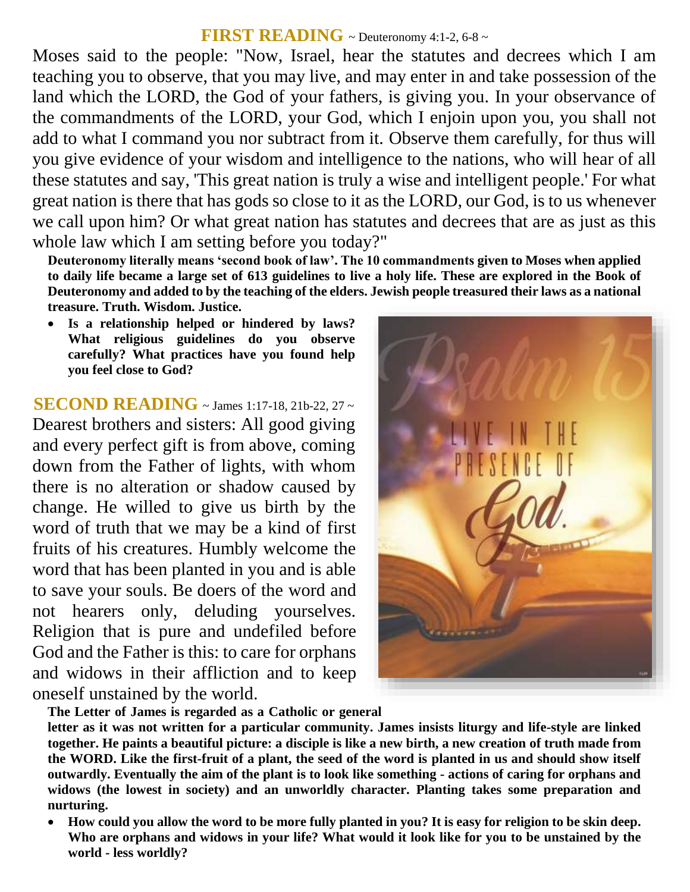## **FIRST READING**  $\sim$  Deuteronomy 4:1-2, 6-8  $\sim$

Moses said to the people: "Now, Israel, hear the statutes and decrees which I am teaching you to observe, that you may live, and may enter in and take possession of the land which the LORD, the God of your fathers, is giving you. In your observance of the commandments of the LORD, your God, which I enjoin upon you, you shall not add to what I command you nor subtract from it. Observe them carefully, for thus will you give evidence of your wisdom and intelligence to the nations, who will hear of all these statutes and say, 'This great nation is truly a wise and intelligent people.' For what great nation is there that has gods so close to it as the LORD, our God, is to us whenever we call upon him? Or what great nation has statutes and decrees that are as just as this whole law which I am setting before you today?"

**Deuteronomy literally means 'second book of law'. The 10 commandments given to Moses when applied to daily life became a large set of 613 guidelines to live a holy life. These are explored in the Book of Deuteronomy and added to by the teaching of the elders. Jewish people treasured their laws as a national treasure. Truth. Wisdom. Justice.** 

 **Is a relationship helped or hindered by laws? What religious guidelines do you observe carefully? What practices have you found help you feel close to God?**

**SECOND READING** ~ James 1:17-18, 21b-22, 27 ~ Dearest brothers and sisters: All good giving and every perfect gift is from above, coming down from the Father of lights, with whom there is no alteration or shadow caused by change. He willed to give us birth by the word of truth that we may be a kind of first fruits of his creatures. Humbly welcome the word that has been planted in you and is able to save your souls. Be doers of the word and not hearers only, deluding yourselves. Religion that is pure and undefiled before God and the Father is this: to care for orphans and widows in their affliction and to keep oneself unstained by the world.



**The Letter of James is regarded as a Catholic or general**

**letter as it was not written for a particular community. James insists liturgy and life-style are linked together. He paints a beautiful picture: a disciple is like a new birth, a new creation of truth made from the WORD. Like the first-fruit of a plant, the seed of the word is planted in us and should show itself outwardly. Eventually the aim of the plant is to look like something - actions of caring for orphans and widows (the lowest in society) and an unworldly character. Planting takes some preparation and nurturing.** 

 **How could you allow the word to be more fully planted in you? It is easy for religion to be skin deep. Who are orphans and widows in your life? What would it look like for you to be unstained by the world - less worldly?**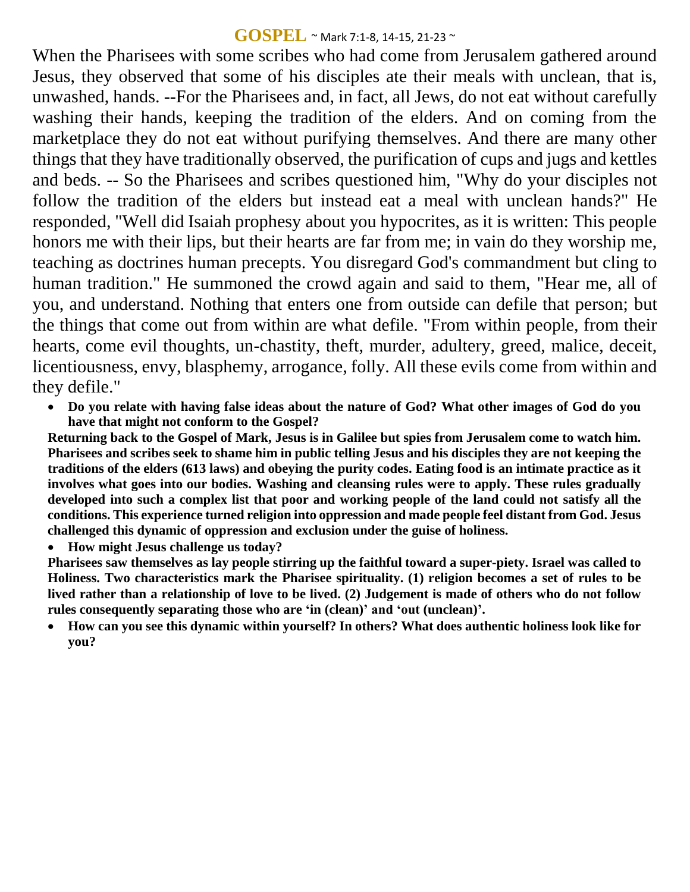### **GOSPEL** ~ Mark 7:1-8, 14-15, 21-23 ~

When the Pharisees with some scribes who had come from Jerusalem gathered around Jesus, they observed that some of his disciples ate their meals with unclean, that is, unwashed, hands. --For the Pharisees and, in fact, all Jews, do not eat without carefully washing their hands, keeping the tradition of the elders. And on coming from the marketplace they do not eat without purifying themselves. And there are many other things that they have traditionally observed, the purification of cups and jugs and kettles and beds. -- So the Pharisees and scribes questioned him, "Why do your disciples not follow the tradition of the elders but instead eat a meal with unclean hands?" He responded, "Well did Isaiah prophesy about you hypocrites, as it is written: This people honors me with their lips, but their hearts are far from me; in vain do they worship me, teaching as doctrines human precepts. You disregard God's commandment but cling to human tradition." He summoned the crowd again and said to them, "Hear me, all of you, and understand. Nothing that enters one from outside can defile that person; but the things that come out from within are what defile. "From within people, from their hearts, come evil thoughts, un-chastity, theft, murder, adultery, greed, malice, deceit, licentiousness, envy, blasphemy, arrogance, folly. All these evils come from within and they defile."

 **Do you relate with having false ideas about the nature of God? What other images of God do you have that might not conform to the Gospel?**

**Returning back to the Gospel of Mark, Jesus is in Galilee but spies from Jerusalem come to watch him. Pharisees and scribes seek to shame him in public telling Jesus and his disciples they are not keeping the traditions of the elders (613 laws) and obeying the purity codes. Eating food is an intimate practice as it involves what goes into our bodies. Washing and cleansing rules were to apply. These rules gradually developed into such a complex list that poor and working people of the land could not satisfy all the conditions. This experience turned religion into oppression and made people feel distant from God. Jesus challenged this dynamic of oppression and exclusion under the guise of holiness.**

**How might Jesus challenge us today?**

**Pharisees saw themselves as lay people stirring up the faithful toward a super-piety. Israel was called to Holiness. Two characteristics mark the Pharisee spirituality. (1) religion becomes a set of rules to be lived rather than a relationship of love to be lived. (2) Judgement is made of others who do not follow rules consequently separating those who are 'in (clean)' and ʻout (unclean)'.** 

 **How can you see this dynamic within yourself? In others? What does authentic holiness look like for you?**